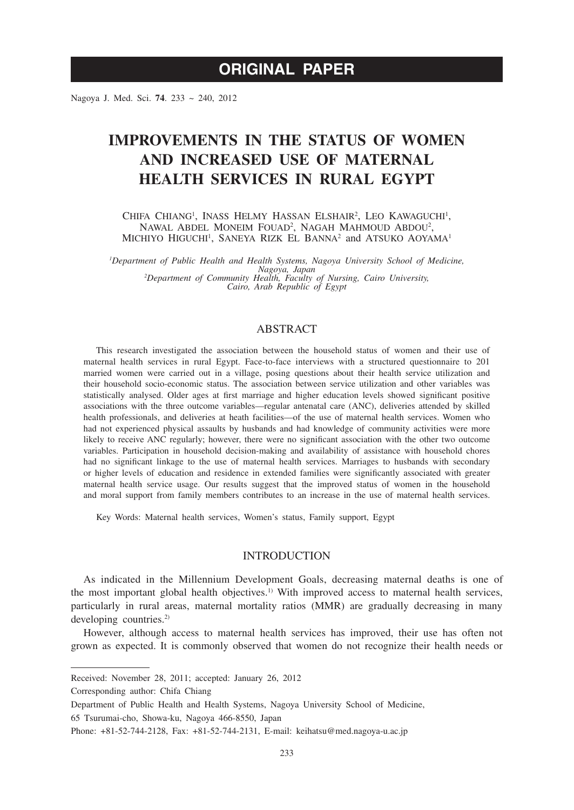Nagoya J. Med. Sci. **74**. 233 ~ 240, 2012

# **IMPROVEMENTS IN THE STATUS OF WOMEN AND INCREASED USE OF MATERNAL HEALTH SERVICES IN RURAL EGYPT**

CHIFA CHIANG<sup>1</sup>, INASS HELMY HASSAN ELSHAIR<sup>2</sup>, LEO KAWAGUCHI<sup>1</sup>, NAWAL ABDEL MONEIM FOUAD<sup>2</sup>, NAGAH MAHMOUD ABDOU<sup>2</sup>, MICHIYO HIGUCHI<sup>1</sup>, SANEYA RIZK EL BANNA<sup>2</sup> and ATSUKO AOYAMA<sup>1</sup>

*1 Department of Public Health and Health Systems, Nagoya University School of Medicine, Nagoya, Japan <sup>2</sup> Department of Community Health, Faculty of Nursing, Cairo University, Cairo, Arab Republic of Egypt*

# ABSTRACT

This research investigated the association between the household status of women and their use of maternal health services in rural Egypt. Face-to-face interviews with a structured questionnaire to 201 married women were carried out in a village, posing questions about their health service utilization and their household socio-economic status. The association between service utilization and other variables was statistically analysed. Older ages at first marriage and higher education levels showed significant positive associations with the three outcome variables—regular antenatal care (ANC), deliveries attended by skilled health professionals, and deliveries at heath facilities—of the use of maternal health services. Women who had not experienced physical assaults by husbands and had knowledge of community activities were more likely to receive ANC regularly; however, there were no significant association with the other two outcome variables. Participation in household decision-making and availability of assistance with household chores had no significant linkage to the use of maternal health services. Marriages to husbands with secondary or higher levels of education and residence in extended families were significantly associated with greater maternal health service usage. Our results suggest that the improved status of women in the household and moral support from family members contributes to an increase in the use of maternal health services.

Key Words: Maternal health services, Women's status, Family support, Egypt

### INTRODUCTION

As indicated in the Millennium Development Goals, decreasing maternal deaths is one of the most important global health objectives.<sup>1)</sup> With improved access to maternal health services, particularly in rural areas, maternal mortality ratios (MMR) are gradually decreasing in many developing countries.<sup>2)</sup>

However, although access to maternal health services has improved, their use has often not grown as expected. It is commonly observed that women do not recognize their health needs or

Received: November 28, 2011; accepted: January 26, 2012

Corresponding author: Chifa Chiang

Department of Public Health and Health Systems, Nagoya University School of Medicine,

<sup>65</sup> Tsurumai-cho, Showa-ku, Nagoya 466-8550, Japan

Phone: +81-52-744-2128, Fax: +81-52-744-2131, E-mail: keihatsu@med.nagoya-u.ac.jp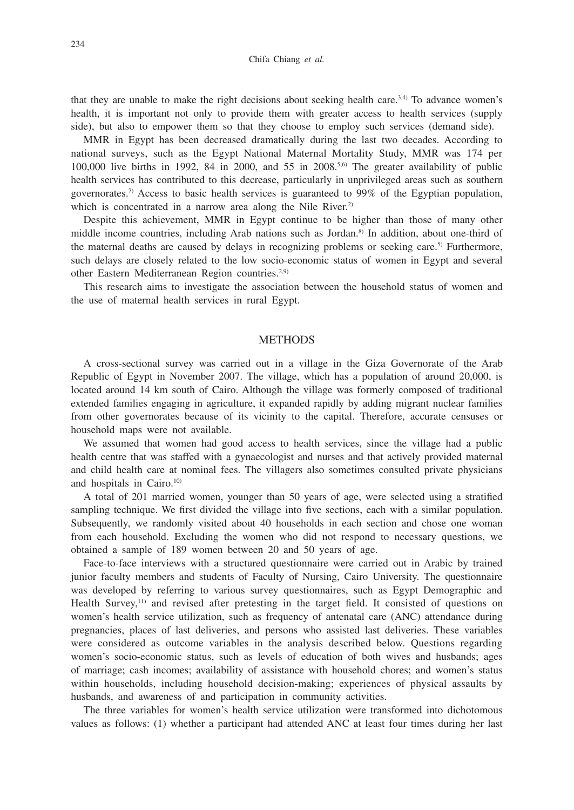Chifa Chiang *et al.*

that they are unable to make the right decisions about seeking health care.<sup>3,4)</sup> To advance women's health, it is important not only to provide them with greater access to health services (supply side), but also to empower them so that they choose to employ such services (demand side).

MMR in Egypt has been decreased dramatically during the last two decades. According to national surveys, such as the Egypt National Maternal Mortality Study, MMR was 174 per 100,000 live births in 1992, 84 in 2000, and 55 in  $2008$ .<sup>5,6)</sup> The greater availability of public health services has contributed to this decrease, particularly in unprivileged areas such as southern governorates.7) Access to basic health services is guaranteed to 99% of the Egyptian population, which is concentrated in a narrow area along the Nile River.<sup>2)</sup>

Despite this achievement, MMR in Egypt continue to be higher than those of many other middle income countries, including Arab nations such as Jordan.8) In addition, about one-third of the maternal deaths are caused by delays in recognizing problems or seeking care.<sup>5)</sup> Furthermore, such delays are closely related to the low socio-economic status of women in Egypt and several other Eastern Mediterranean Region countries.2,9)

This research aims to investigate the association between the household status of women and the use of maternal health services in rural Egypt.

## **METHODS**

A cross-sectional survey was carried out in a village in the Giza Governorate of the Arab Republic of Egypt in November 2007. The village, which has a population of around 20,000, is located around 14 km south of Cairo. Although the village was formerly composed of traditional extended families engaging in agriculture, it expanded rapidly by adding migrant nuclear families from other governorates because of its vicinity to the capital. Therefore, accurate censuses or household maps were not available.

We assumed that women had good access to health services, since the village had a public health centre that was staffed with a gynaecologist and nurses and that actively provided maternal and child health care at nominal fees. The villagers also sometimes consulted private physicians and hospitals in Cairo. $10$ 

A total of 201 married women, younger than 50 years of age, were selected using a stratified sampling technique. We first divided the village into five sections, each with a similar population. Subsequently, we randomly visited about 40 households in each section and chose one woman from each household. Excluding the women who did not respond to necessary questions, we obtained a sample of 189 women between 20 and 50 years of age.

Face-to-face interviews with a structured questionnaire were carried out in Arabic by trained junior faculty members and students of Faculty of Nursing, Cairo University. The questionnaire was developed by referring to various survey questionnaires, such as Egypt Demographic and Health Survey,<sup>11)</sup> and revised after pretesting in the target field. It consisted of questions on women's health service utilization, such as frequency of antenatal care (ANC) attendance during pregnancies, places of last deliveries, and persons who assisted last deliveries. These variables were considered as outcome variables in the analysis described below. Questions regarding women's socio-economic status, such as levels of education of both wives and husbands; ages of marriage; cash incomes; availability of assistance with household chores; and women's status within households, including household decision-making; experiences of physical assaults by husbands, and awareness of and participation in community activities.

The three variables for women's health service utilization were transformed into dichotomous values as follows: (1) whether a participant had attended ANC at least four times during her last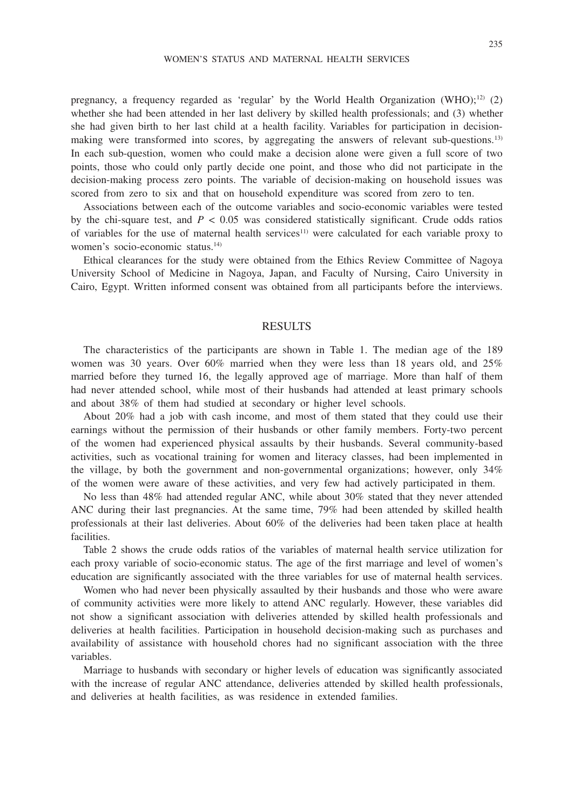pregnancy, a frequency regarded as 'regular' by the World Health Organization (WHO);<sup>12)</sup> (2) whether she had been attended in her last delivery by skilled health professionals; and (3) whether she had given birth to her last child at a health facility. Variables for participation in decisionmaking were transformed into scores, by aggregating the answers of relevant sub-questions.13) In each sub-question, women who could make a decision alone were given a full score of two points, those who could only partly decide one point, and those who did not participate in the decision-making process zero points. The variable of decision-making on household issues was scored from zero to six and that on household expenditure was scored from zero to ten.

Associations between each of the outcome variables and socio-economic variables were tested by the chi-square test, and  $P < 0.05$  was considered statistically significant. Crude odds ratios of variables for the use of maternal health services<sup>11)</sup> were calculated for each variable proxy to women's socio-economic status.14)

Ethical clearances for the study were obtained from the Ethics Review Committee of Nagoya University School of Medicine in Nagoya, Japan, and Faculty of Nursing, Cairo University in Cairo, Egypt. Written informed consent was obtained from all participants before the interviews.

#### RESULTS

The characteristics of the participants are shown in Table 1. The median age of the 189 women was 30 years. Over 60% married when they were less than 18 years old, and 25% married before they turned 16, the legally approved age of marriage. More than half of them had never attended school, while most of their husbands had attended at least primary schools and about 38% of them had studied at secondary or higher level schools.

About 20% had a job with cash income, and most of them stated that they could use their earnings without the permission of their husbands or other family members. Forty-two percent of the women had experienced physical assaults by their husbands. Several community-based activities, such as vocational training for women and literacy classes, had been implemented in the village, by both the government and non-governmental organizations; however, only 34% of the women were aware of these activities, and very few had actively participated in them.

No less than 48% had attended regular ANC, while about 30% stated that they never attended ANC during their last pregnancies. At the same time, 79% had been attended by skilled health professionals at their last deliveries. About 60% of the deliveries had been taken place at health facilities.

Table 2 shows the crude odds ratios of the variables of maternal health service utilization for each proxy variable of socio-economic status. The age of the first marriage and level of women's education are significantly associated with the three variables for use of maternal health services.

Women who had never been physically assaulted by their husbands and those who were aware of community activities were more likely to attend ANC regularly. However, these variables did not show a significant association with deliveries attended by skilled health professionals and deliveries at health facilities. Participation in household decision-making such as purchases and availability of assistance with household chores had no significant association with the three variables.

Marriage to husbands with secondary or higher levels of education was significantly associated with the increase of regular ANC attendance, deliveries attended by skilled health professionals, and deliveries at health facilities, as was residence in extended families.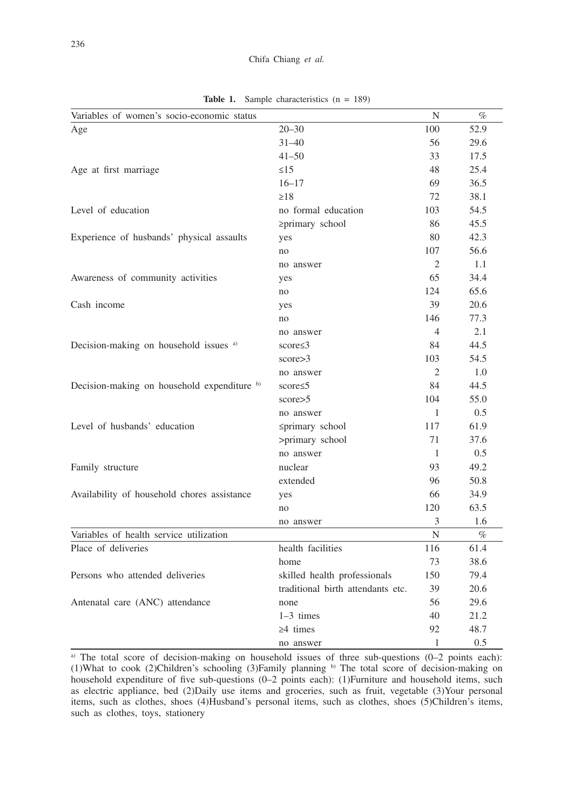| Variables of women's socio-economic status  |                                   | N              | $\%$ |
|---------------------------------------------|-----------------------------------|----------------|------|
| Age                                         | $20 - 30$                         | 100            | 52.9 |
|                                             | $31 - 40$                         | 56             | 29.6 |
|                                             | $41 - 50$                         | 33             | 17.5 |
| Age at first marriage                       | $\leq$ 15                         | 48             | 25.4 |
|                                             | $16 - 17$                         | 69             | 36.5 |
|                                             | $\geq$ 18                         | 72             | 38.1 |
| Level of education                          | no formal education               | 103            | 54.5 |
|                                             | ≥primary school                   | 86             | 45.5 |
| Experience of husbands' physical assaults   | yes                               | 80             | 42.3 |
|                                             | no                                | 107            | 56.6 |
|                                             | no answer                         | 2              | 1.1  |
| Awareness of community activities           | yes                               | 65             | 34.4 |
|                                             | no                                | 124            | 65.6 |
| Cash income                                 | yes                               | 39             | 20.6 |
|                                             | no                                | 146            | 77.3 |
|                                             | no answer                         | $\overline{4}$ | 2.1  |
| Decision-making on household issues a)      | score $\leq$ 3                    | 84             | 44.5 |
|                                             | score > 3                         | 103            | 54.5 |
|                                             | no answer                         | 2              | 1.0  |
| Decision-making on household expenditure b) | score≤5                           | 84             | 44.5 |
|                                             | score > 5                         | 104            | 55.0 |
|                                             | no answer                         | 1              | 0.5  |
| Level of husbands' education                | ≤primary school                   | 117            | 61.9 |
|                                             | >primary school                   | 71             | 37.6 |
|                                             | no answer                         | $\mathbf{1}$   | 0.5  |
| Family structure                            | nuclear                           | 93             | 49.2 |
|                                             | extended                          | 96             | 50.8 |
| Availability of household chores assistance | yes                               | 66             | 34.9 |
|                                             | no                                | 120            | 63.5 |
|                                             | no answer                         | 3              | 1.6  |
| Variables of health service utilization     |                                   | N              | $\%$ |
| Place of deliveries                         | health facilities                 | 116            | 61.4 |
|                                             | home                              | 73             | 38.6 |
| Persons who attended deliveries             | skilled health professionals      | 150            | 79.4 |
|                                             | traditional birth attendants etc. | 39             | 20.6 |
| Antenatal care (ANC) attendance             | none                              | 56             | 29.6 |
|                                             | $1-3$ times                       | 40             | 21.2 |
|                                             | $\geq 4$ times                    | 92             | 48.7 |
|                                             | no answer                         | 1              | 0.5  |

Table 1. Sample characteristics (n = 189)

a) The total score of decision-making on household issues of three sub-questions (0–2 points each): (1)What to cook (2)Children's schooling (3)Family planning b) The total score of decision-making on household expenditure of five sub-questions (0-2 points each): (1)Furniture and household items, such as electric appliance, bed (2)Daily use items and groceries, such as fruit, vegetable (3)Your personal items, such as clothes, shoes (4)Husband's personal items, such as clothes, shoes (5)Children's items, such as clothes, toys, stationery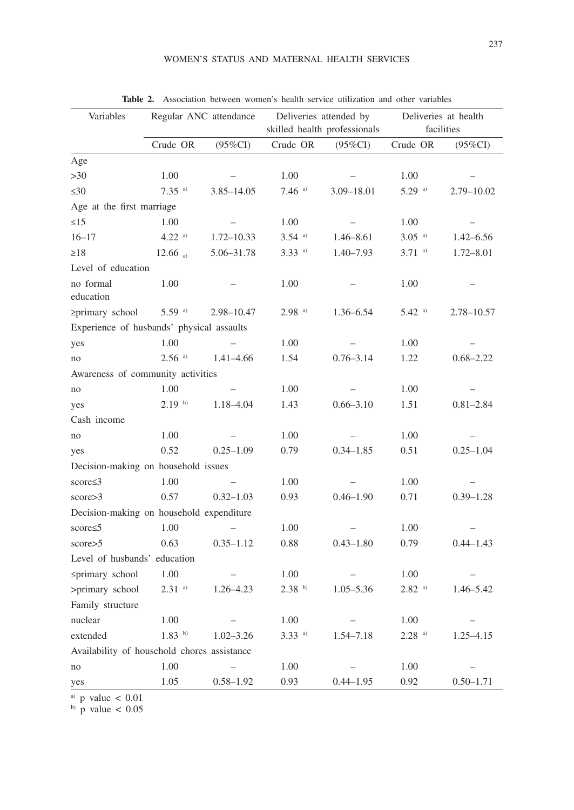| Variables                                   | Regular ANC attendance |                | Deliveries attended by<br>skilled health professionals |                | Deliveries at health<br>facilities |               |  |  |  |
|---------------------------------------------|------------------------|----------------|--------------------------------------------------------|----------------|------------------------------------|---------------|--|--|--|
|                                             | Crude OR               | $(95\%CI)$     | Crude OR                                               | $(95\%CI)$     | Crude OR                           | $(95\%CI)$    |  |  |  |
| Age                                         |                        |                |                                                        |                |                                    |               |  |  |  |
| $>30$                                       | 1.00                   |                | 1.00                                                   |                | 1.00                               |               |  |  |  |
| $\leq 30$                                   | $7.35$ <sup>a)</sup>   | $3.85 - 14.05$ | $7.46$ <sup>a)</sup>                                   | $3.09 - 18.01$ | $5.29$ <sup>a)</sup>               | 2.79–10.02    |  |  |  |
| Age at the first marriage                   |                        |                |                                                        |                |                                    |               |  |  |  |
| $\leq 15$                                   | 1.00                   |                | 1.00                                                   |                | 1.00                               |               |  |  |  |
| $16 - 17$                                   | $4.22$ <sup>a)</sup>   | $1.72 - 10.33$ | $3.54$ <sup>a)</sup>                                   | $1.46 - 8.61$  | $3.05$ <sup>a)</sup>               | $1.42 - 6.56$ |  |  |  |
| $\geq$ 18                                   | 12.66 a)               | 5.06-31.78     | $3.33$ <sup>a)</sup>                                   | $1.40 - 7.93$  | $3.71$ a)                          | $1.72 - 8.01$ |  |  |  |
| Level of education                          |                        |                |                                                        |                |                                    |               |  |  |  |
| no formal<br>education                      | 1.00                   |                | 1.00                                                   |                | 1.00                               |               |  |  |  |
| ≥primary school                             | $5.59$ <sup>a)</sup>   | $2.98 - 10.47$ | $2.98$ <sup>a)</sup>                                   | 1.36–6.54      | $5.42$ a)                          | 2.78-10.57    |  |  |  |
| Experience of husbands' physical assaults   |                        |                |                                                        |                |                                    |               |  |  |  |
| yes                                         | 1.00                   |                | 1.00                                                   |                | 1.00                               |               |  |  |  |
| no                                          | $2.56$ <sup>a)</sup>   | $1.41 - 4.66$  | 1.54                                                   | $0.76 - 3.14$  | 1.22                               | $0.68 - 2.22$ |  |  |  |
| Awareness of community activities           |                        |                |                                                        |                |                                    |               |  |  |  |
| no                                          | 1.00                   |                | 1.00                                                   |                | 1.00                               |               |  |  |  |
| yes                                         | 2.19 <sup>b)</sup>     | 1.18-4.04      | 1.43                                                   | $0.66 - 3.10$  | 1.51                               | $0.81 - 2.84$ |  |  |  |
| Cash income                                 |                        |                |                                                        |                |                                    |               |  |  |  |
| no                                          | 1.00                   |                | 1.00                                                   |                | 1.00                               |               |  |  |  |
| yes                                         | 0.52                   | $0.25 - 1.09$  | 0.79                                                   | $0.34 - 1.85$  | 0.51                               | $0.25 - 1.04$ |  |  |  |
| Decision-making on household issues         |                        |                |                                                        |                |                                    |               |  |  |  |
| $score \leq 3$                              | 1.00                   |                | 1.00                                                   |                | 1.00                               |               |  |  |  |
| score > 3                                   | 0.57                   | $0.32 - 1.03$  | 0.93                                                   | $0.46 - 1.90$  | 0.71                               | $0.39 - 1.28$ |  |  |  |
| Decision-making on household expenditure    |                        |                |                                                        |                |                                    |               |  |  |  |
| score $\leq$ 5                              | 1.00                   |                | 1.00                                                   |                | 1.00                               |               |  |  |  |
| score > 5                                   | 0.63                   | $0.35 - 1.12$  | 0.88                                                   | $0.43 - 1.80$  | 0.79                               | $0.44 - 1.43$ |  |  |  |
| Level of husbands' education                |                        |                |                                                        |                |                                    |               |  |  |  |
| ≤primary school                             | 1.00                   |                | 1.00                                                   |                | 1.00                               |               |  |  |  |
| >primary school                             | $2.31$ a)              | $1.26 - 4.23$  | 2.38 <sup>b)</sup>                                     | $1.05 - 5.36$  | $2.82$ a)                          | $1.46 - 5.42$ |  |  |  |
| Family structure                            |                        |                |                                                        |                |                                    |               |  |  |  |
| nuclear                                     | 1.00                   |                | 1.00                                                   |                | 1.00                               |               |  |  |  |
| extended                                    | $1.83$ b)              | $1.02 - 3.26$  | $3.33$ <sup>a)</sup>                                   | $1.54 - 7.18$  | $2.28$ <sup>a)</sup>               | $1.25 - 4.15$ |  |  |  |
| Availability of household chores assistance |                        |                |                                                        |                |                                    |               |  |  |  |
| no                                          | 1.00                   |                | 1.00                                                   |                | 1.00                               |               |  |  |  |
| yes                                         | 1.05                   | $0.58 - 1.92$  | 0.93                                                   | $0.44 - 1.95$  | 0.92                               | $0.50 - 1.71$ |  |  |  |

**Table 2.** Association between women's health service utilization and other variables

a) p value  $< 0.01$ 

 $b)$  p value  $< 0.05$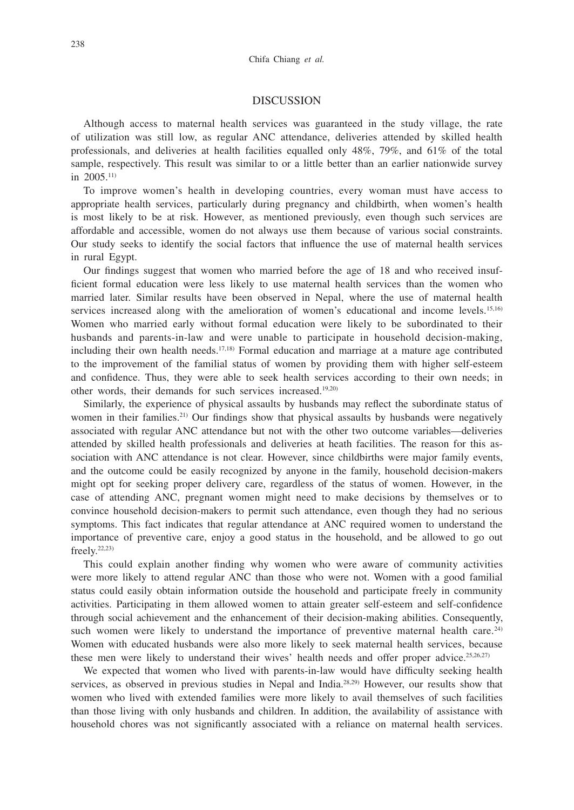#### DISCUSSION

Although access to maternal health services was guaranteed in the study village, the rate of utilization was still low, as regular ANC attendance, deliveries attended by skilled health professionals, and deliveries at health facilities equalled only 48%, 79%, and 61% of the total sample, respectively. This result was similar to or a little better than an earlier nationwide survey in  $2005$ <sup>11)</sup>

To improve women's health in developing countries, every woman must have access to appropriate health services, particularly during pregnancy and childbirth, when women's health is most likely to be at risk. However, as mentioned previously, even though such services are affordable and accessible, women do not always use them because of various social constraints. Our study seeks to identify the social factors that influence the use of maternal health services in rural Egypt.

Our findings suggest that women who married before the age of 18 and who received insufficient formal education were less likely to use maternal health services than the women who married later. Similar results have been observed in Nepal, where the use of maternal health services increased along with the amelioration of women's educational and income levels.<sup>15,16)</sup> Women who married early without formal education were likely to be subordinated to their husbands and parents-in-law and were unable to participate in household decision-making, including their own health needs.<sup>17,18</sup> Formal education and marriage at a mature age contributed to the improvement of the familial status of women by providing them with higher self-esteem and confidence. Thus, they were able to seek health services according to their own needs; in other words, their demands for such services increased.<sup>19,20)</sup>

Similarly, the experience of physical assaults by husbands may reflect the subordinate status of women in their families.<sup>21)</sup> Our findings show that physical assaults by husbands were negatively associated with regular ANC attendance but not with the other two outcome variables—deliveries attended by skilled health professionals and deliveries at heath facilities. The reason for this association with ANC attendance is not clear. However, since childbirths were major family events, and the outcome could be easily recognized by anyone in the family, household decision-makers might opt for seeking proper delivery care, regardless of the status of women. However, in the case of attending ANC, pregnant women might need to make decisions by themselves or to convince household decision-makers to permit such attendance, even though they had no serious symptoms. This fact indicates that regular attendance at ANC required women to understand the importance of preventive care, enjoy a good status in the household, and be allowed to go out freely. $22,23$ )

This could explain another finding why women who were aware of community activities were more likely to attend regular ANC than those who were not. Women with a good familial status could easily obtain information outside the household and participate freely in community activities. Participating in them allowed women to attain greater self-esteem and self-confidence through social achievement and the enhancement of their decision-making abilities. Consequently, such women were likely to understand the importance of preventive maternal health care.<sup>24)</sup> Women with educated husbands were also more likely to seek maternal health services, because these men were likely to understand their wives' health needs and offer proper advice.<sup>25,26,27)</sup>

We expected that women who lived with parents-in-law would have difficulty seeking health services, as observed in previous studies in Nepal and India.<sup>28,29)</sup> However, our results show that women who lived with extended families were more likely to avail themselves of such facilities than those living with only husbands and children. In addition, the availability of assistance with household chores was not significantly associated with a reliance on maternal health services.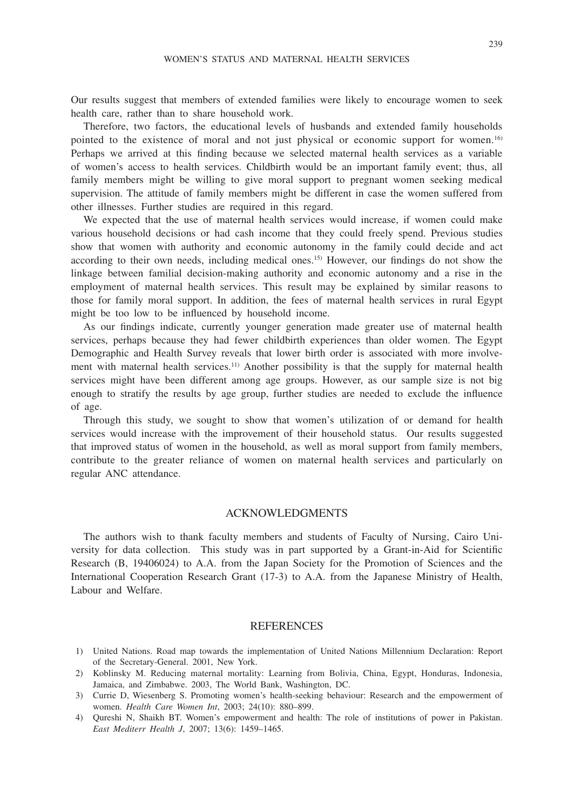Our results suggest that members of extended families were likely to encourage women to seek health care, rather than to share household work.

Therefore, two factors, the educational levels of husbands and extended family households pointed to the existence of moral and not just physical or economic support for women.16) Perhaps we arrived at this finding because we selected maternal health services as a variable of women's access to health services. Childbirth would be an important family event; thus, all family members might be willing to give moral support to pregnant women seeking medical supervision. The attitude of family members might be different in case the women suffered from other illnesses. Further studies are required in this regard.

We expected that the use of maternal health services would increase, if women could make various household decisions or had cash income that they could freely spend. Previous studies show that women with authority and economic autonomy in the family could decide and act according to their own needs, including medical ones.15) However, our findings do not show the linkage between familial decision-making authority and economic autonomy and a rise in the employment of maternal health services. This result may be explained by similar reasons to those for family moral support. In addition, the fees of maternal health services in rural Egypt might be too low to be influenced by household income.

As our findings indicate, currently younger generation made greater use of maternal health services, perhaps because they had fewer childbirth experiences than older women. The Egypt Demographic and Health Survey reveals that lower birth order is associated with more involvement with maternal health services.<sup>11)</sup> Another possibility is that the supply for maternal health services might have been different among age groups. However, as our sample size is not big enough to stratify the results by age group, further studies are needed to exclude the influence of age.

Through this study, we sought to show that women's utilization of or demand for health services would increase with the improvement of their household status. Our results suggested that improved status of women in the household, as well as moral support from family members, contribute to the greater reliance of women on maternal health services and particularly on regular ANC attendance.

#### ACKNOWLEDGMENTS

The authors wish to thank faculty members and students of Faculty of Nursing, Cairo University for data collection. This study was in part supported by a Grant-in-Aid for Scientific Research (B, 19406024) to A.A. from the Japan Society for the Promotion of Sciences and the International Cooperation Research Grant (17-3) to A.A. from the Japanese Ministry of Health, Labour and Welfare.

#### REFERENCES

- 1) United Nations. Road map towards the implementation of United Nations Millennium Declaration: Report of the Secretary-General. 2001, New York.
- 2) Koblinsky M. Reducing maternal mortality: Learning from Bolivia, China, Egypt, Honduras, Indonesia, Jamaica, and Zimbabwe. 2003, The World Bank, Washington, DC.
- 3) Currie D, Wiesenberg S. Promoting women's health-seeking behaviour: Research and the empowerment of women. *Health Care Women Int*, 2003; 24(10): 880–899.
- 4) Qureshi N, Shaikh BT. Women's empowerment and health: The role of institutions of power in Pakistan. *East Mediterr Health J*, 2007; 13(6): 1459–1465.